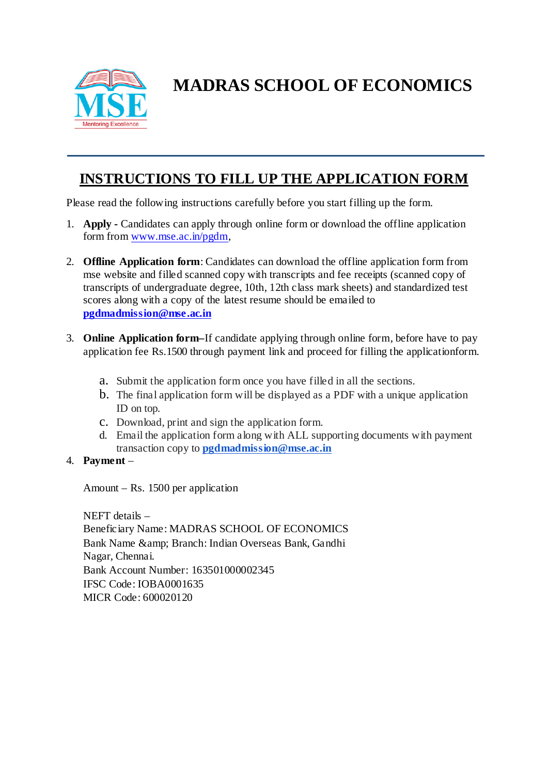

**MADRAS SCHOOL OF ECONOMICS**

# **INSTRUCTIONS TO FILL UP THE APPLICATION FORM**

Please read the following instructions carefully before you start filling up the form.

- 1. **Apply -** Candidates can apply through online form or download the offline application form from [www.mse.ac.in/pgdm,](http://www.mse.ac.in/pgdm)
- 2. **Offline Application form**: Candidates can download the offline application form from mse website and filled scanned copy with transcripts and fee receipts (scanned copy of transcripts of undergraduate degree, 10th, 12th class mark sheets) and standardized test scores along with a copy of the latest resume should be emailed to **[pgdmadmission@mse.ac.in](mailto:pgdmadmission@mse.ac.in)**
- 3. **Online Application form–**If candidate applying through online form, before have to pay application fee Rs.1500 through payment link and proceed for filling the applicationform.
	- a. Submit the application form once you have filled in all the sections.
	- b. The final application form will be displayed as a PDF with a unique application ID on top.
	- c. Download, print and sign the application form.
	- d. Email the application form along with ALL supporting documents with payment transaction copy to **[pgdmadmission@mse.ac.in](mailto:pgdmadmission@mse.ac.in)**
- 4. **Payment** –

Amount – Rs. 1500 per application

NEFT details – Beneficiary Name: MADRAS SCHOOL OF ECONOMICS Bank Name & amp; Branch: Indian Overseas Bank, Gandhi Nagar, Chennai. Bank Account Number: 163501000002345 IFSC Code: IOBA0001635 MICR Code: 600020120